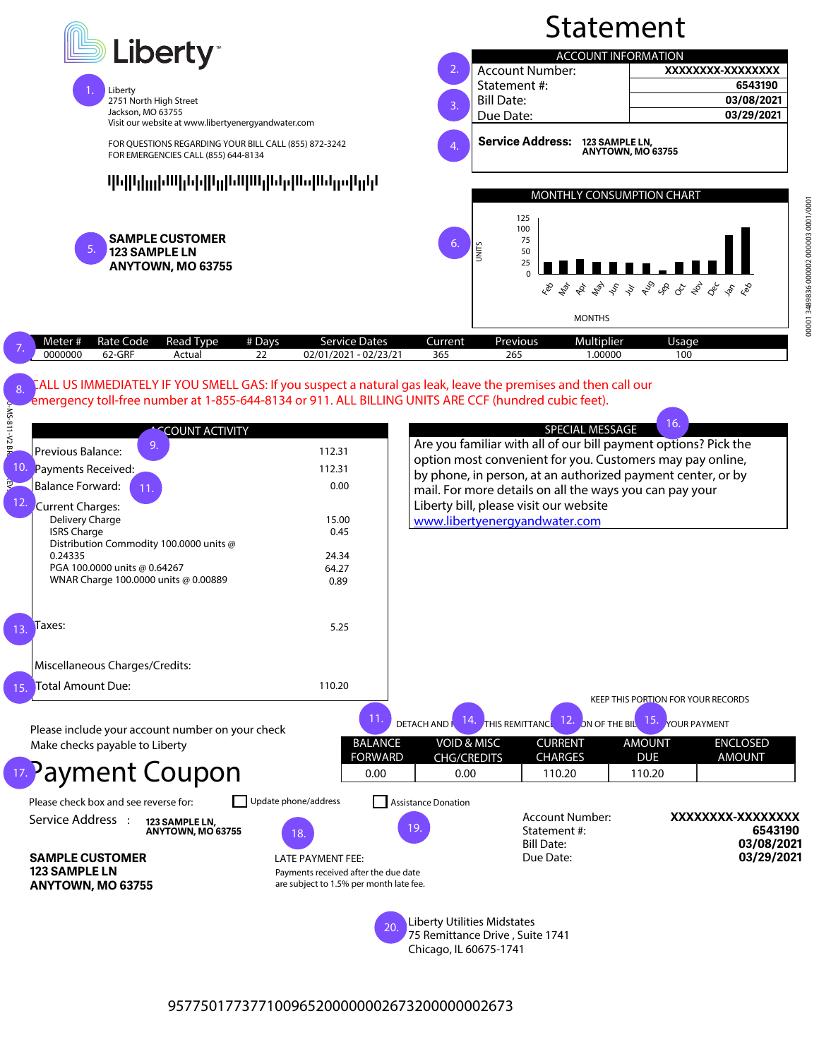

 $9-8-81-82$  BRE GEN REV.

75 Remittance Drive , Suite 1741 Chicago, IL 60675-1741